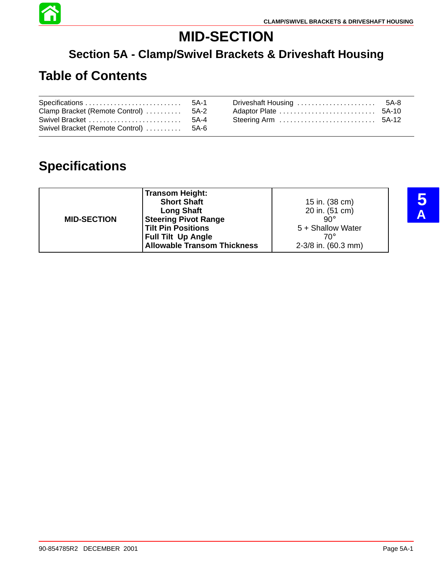

# **MID-SECTION**

### **Section 5A - Clamp/Swivel Brackets & Driveshaft Housing**

## **Table of Contents**

| Clamp Bracket (Remote Control)  5A-2  | Driveshaft Housing  5A-8 |  |
|---------------------------------------|--------------------------|--|
| Swivel Bracket (Remote Control)  5A-6 |                          |  |

## **Specifications**

|                    | <b>Transom Height:</b><br><b>Short Shaft</b> | 15 in. (38 cm)      |
|--------------------|----------------------------------------------|---------------------|
|                    | <b>Long Shaft</b>                            | 20 in. (51 cm)      |
| <b>MID-SECTION</b> | <b>Steering Pivot Range</b>                  | $90^{\circ}$        |
|                    | Tilt Pin Positions                           | 5 + Shallow Water   |
|                    | <b>Full Tilt Up Angle</b>                    | 70°                 |
|                    | <b>Allowable Transom Thickness</b>           | 2-3/8 in. (60.3 mm) |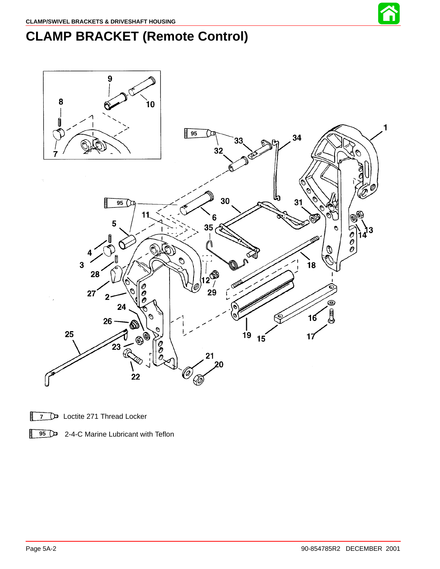

# **CLAMP BRACKET (Remote Control)**



**7** De Loctite 271 Thread Locker

**95** 2-4-C Marine Lubricant with Teflon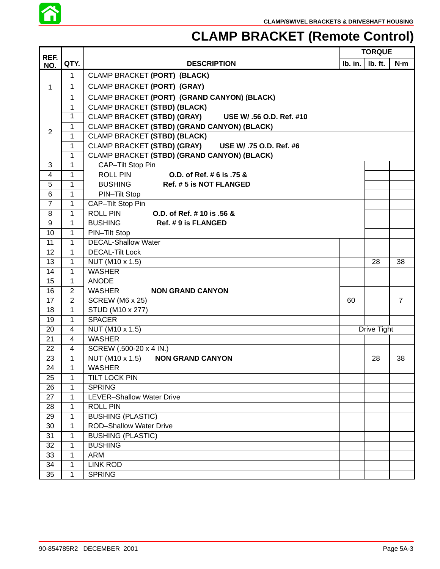

## **CLAMP BRACKET (Remote Control)**

| REF.           |                |                                                         |    | <b>TORQUE</b>                         |                |
|----------------|----------------|---------------------------------------------------------|----|---------------------------------------|----------------|
| NO.            | QTY.           | <b>DESCRIPTION</b>                                      |    | $\mathsf{lb.}$ in. $\mathsf{lb.}$ ft. | N·m            |
|                | 1              | CLAMP BRACKET (PORT) (BLACK)                            |    |                                       |                |
| 1              | 1              | CLAMP BRACKET (PORT) (GRAY)                             |    |                                       |                |
|                | 1              | CLAMP BRACKET (PORT) (GRAND CANYON) (BLACK)             |    |                                       |                |
|                | 1              | <b>CLAMP BRACKET (STBD) (BLACK)</b>                     |    |                                       |                |
|                | 1              | CLAMP BRACKET (STBD) (GRAY)<br>USE W/ .56 O.D. Ref. #10 |    |                                       |                |
|                | 1              | CLAMP BRACKET (STBD) (GRAND CANYON) (BLACK)             |    |                                       |                |
| $\overline{2}$ | 1              | <b>CLAMP BRACKET (STBD) (BLACK)</b>                     |    |                                       |                |
|                | 1              | CLAMP BRACKET (STBD) (GRAY) USE W/ .75 O.D. Ref. #6     |    |                                       |                |
|                | 1              | CLAMP BRACKET (STBD) (GRAND CANYON) (BLACK)             |    |                                       |                |
| 3              | 1              | CAP-Tilt Stop Pin                                       |    |                                       |                |
| 4              | 1              | <b>ROLL PIN</b><br>O.D. of Ref. # 6 is .75 &            |    |                                       |                |
| 5              | 1              | <b>BUSHING</b><br>Ref. #5 is NOT FLANGED                |    |                                       |                |
| 6              | 1              | PIN-Tilt Stop                                           |    |                                       |                |
| $\overline{7}$ | 1              | CAP-Tilt Stop Pin                                       |    |                                       |                |
| 8              | 1              | <b>ROLL PIN</b><br>O.D. of Ref. # 10 is .56 &           |    |                                       |                |
| 9              | 1              | <b>BUSHING</b><br>Ref. #9 is FLANGED                    |    |                                       |                |
| 10             | 1              | PIN-Tilt Stop                                           |    |                                       |                |
| 11             | $\mathbf{1}$   | <b>DECAL-Shallow Water</b>                              |    |                                       |                |
| 12             | 1              | <b>DECAL-Tilt Lock</b>                                  |    |                                       |                |
| 13             | 1              | NUT (M10 x 1.5)                                         |    | 28                                    | 38             |
| 14             | 1              | <b>WASHER</b>                                           |    |                                       |                |
| 15             | 1              | <b>ANODE</b>                                            |    |                                       |                |
| 16             | $\overline{2}$ | <b>WASHER</b><br><b>NON GRAND CANYON</b>                |    |                                       |                |
| 17             | $\overline{2}$ | <b>SCREW (M6 x 25)</b>                                  | 60 |                                       | $\overline{7}$ |
| 18             | 1              | STUD (M10 x 277)                                        |    |                                       |                |
| 19             | $\mathbf{1}$   | <b>SPACER</b>                                           |    |                                       |                |
| 20             | 4              | NUT (M10 x 1.5)                                         |    | Drive Tight                           |                |
| 21             | 4              | <b>WASHER</b>                                           |    |                                       |                |
| 22             | 4              | SCREW (.500-20 x 4 IN.)                                 |    |                                       |                |
| 23             | 1              | NUT (M10 x 1.5)<br><b>NON GRAND CANYON</b>              |    | 28                                    | 38             |
| 24             | 1              | <b>WASHER</b>                                           |    |                                       |                |
| 25             | 1              | TILT LOCK PIN                                           |    |                                       |                |
| 26             | 1              | <b>SPRING</b>                                           |    |                                       |                |
| 27             | 1              | LEVER-Shallow Water Drive                               |    |                                       |                |
| 28             | 1              | <b>ROLL PIN</b>                                         |    |                                       |                |
| 29             | 1              | <b>BUSHING (PLASTIC)</b>                                |    |                                       |                |
| 30             | 1              | <b>ROD-Shallow Water Drive</b>                          |    |                                       |                |
| 31             | 1              | <b>BUSHING (PLASTIC)</b>                                |    |                                       |                |
| 32             | 1              | <b>BUSHING</b>                                          |    |                                       |                |
| 33             | 1              | <b>ARM</b>                                              |    |                                       |                |
| 34             | 1              | <b>LINK ROD</b>                                         |    |                                       |                |
| 35             | 1              | <b>SPRING</b>                                           |    |                                       |                |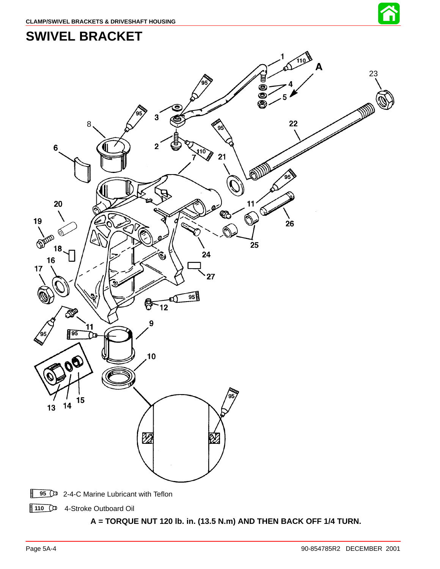

## <span id="page-3-0"></span>**SWIVEL BRACKET**



110 <sup>4</sup>-Stroke Outboard Oil

#### **A = TORQUE NUT 120 lb. in. (13.5 N.m) AND THEN BACK OFF 1/4 TURN.**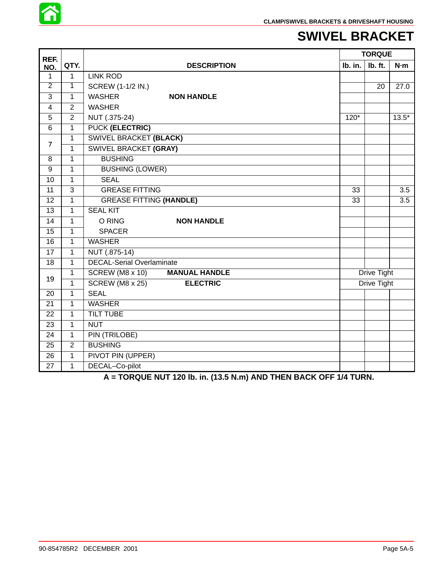

### **SWIVEL BRACKET**

| REF.            |                |                                           | <b>TORQUE</b> |                    |         |
|-----------------|----------------|-------------------------------------------|---------------|--------------------|---------|
| NO.             | QTY.           | <b>DESCRIPTION</b>                        | Ib. in.       | Ib. ft.            | N·m     |
| 1               | $\mathbf{1}$   | <b>LINK ROD</b>                           |               |                    |         |
| $\overline{2}$  | $\overline{1}$ | <b>SCREW (1-1/2 IN.)</b>                  |               | 20                 | 27.0    |
| 3               | 1              | <b>WASHER</b><br><b>NON HANDLE</b>        |               |                    |         |
| $\overline{4}$  | $\overline{2}$ | <b>WASHER</b>                             |               |                    |         |
| 5               | $\overline{2}$ | NUT (.375-24)                             | $120*$        |                    | $13.5*$ |
| $\overline{6}$  | 1              | <b>PUCK (ELECTRIC)</b>                    |               |                    |         |
| $\overline{7}$  | $\mathbf{1}$   | <b>SWIVEL BRACKET (BLACK)</b>             |               |                    |         |
|                 | 1              | <b>SWIVEL BRACKET (GRAY)</b>              |               |                    |         |
| 8               | $\mathbf{1}$   | <b>BUSHING</b>                            |               |                    |         |
| $\overline{9}$  | 1              | <b>BUSHING (LOWER)</b>                    |               |                    |         |
| 10              | $\mathbf{1}$   | <b>SEAL</b>                               |               |                    |         |
| 11              | $\overline{3}$ | <b>GREASE FITTING</b>                     | 33            |                    | 3.5     |
| 12              | $\mathbf{1}$   | <b>GREASE FITTING (HANDLE)</b>            | 33            |                    | 3.5     |
| 13              | 1              | <b>SEAL KIT</b>                           |               |                    |         |
| $\overline{14}$ | $\mathbf{1}$   | O RING<br><b>NON HANDLE</b>               |               |                    |         |
| 15              | 1              | <b>SPACER</b>                             |               |                    |         |
| 16              | $\mathbf{1}$   | <b>WASHER</b>                             |               |                    |         |
| $\overline{17}$ | $\mathbf{1}$   | NUT (.875-14)                             |               |                    |         |
| $\overline{18}$ | $\mathbf{1}$   | <b>DECAL-Serial Overlaminate</b>          |               |                    |         |
| 19              | $\mathbf{1}$   | SCREW (M8 x 10)<br><b>MANUAL HANDLE</b>   |               | <b>Drive Tight</b> |         |
|                 | 1              | <b>SCREW (M8 x 25)</b><br><b>ELECTRIC</b> |               | <b>Drive Tight</b> |         |
| 20              | 1              | <b>SEAL</b>                               |               |                    |         |
| $\overline{21}$ | 1              | <b>WASHER</b>                             |               |                    |         |
| 22              | 1              | <b>TILT TUBE</b>                          |               |                    |         |
| 23              | $\mathbf{1}$   | <b>NUT</b>                                |               |                    |         |
| $\overline{24}$ | $\overline{1}$ | <b>PIN (TRILOBE)</b>                      |               |                    |         |
| $\overline{25}$ | $\overline{2}$ | <b>BUSHING</b>                            |               |                    |         |
| 26              | $\mathbf{1}$   | PIVOT PIN (UPPER)                         |               |                    |         |
| 27              | 1              | DECAL-Co-pilot                            |               |                    |         |

**A = TORQUE NUT 120 lb. in. (13.5 N.m) AND THEN BACK OFF 1/4 TURN.**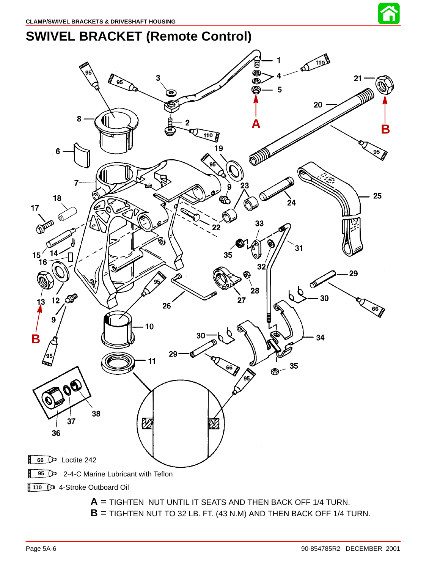

# **SWIVEL BRACKET (Remote Control)**

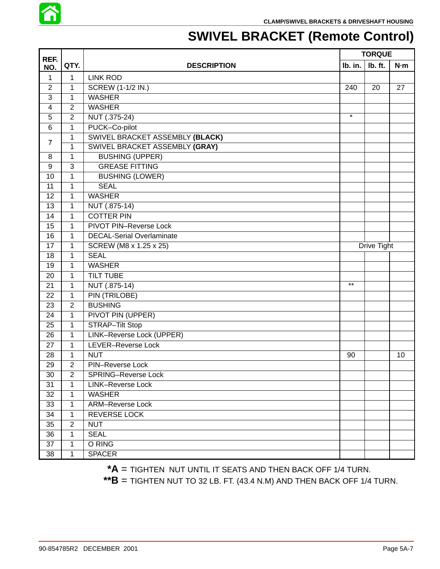

# **SWIVEL BRACKET (Remote Control)**

| REF.            |                |                                  | <b>TORQUE</b> |         |     |
|-----------------|----------------|----------------------------------|---------------|---------|-----|
| NO.             | QTY.           | <b>DESCRIPTION</b>               | Ib. in.       | Ib. ft. | N·m |
| $\mathbf{1}$    | $\mathbf{1}$   | <b>LINK ROD</b>                  |               |         |     |
| $\overline{2}$  | 1              | <b>SCREW (1-1/2 IN.)</b>         | 240           | 20      | 27  |
| 3               | 1              | <b>WASHER</b>                    |               |         |     |
| 4               | $\overline{2}$ | <b>WASHER</b>                    |               |         |     |
| 5               | $\overline{2}$ | NUT (.375-24)                    | $\star$       |         |     |
| 6               | 1              | PUCK-Co-pilot                    |               |         |     |
| $\overline{7}$  | 1              | SWIVEL BRACKET ASSEMBLY (BLACK)  |               |         |     |
|                 | 1              | SWIVEL BRACKET ASSEMBLY (GRAY)   |               |         |     |
| 8               | 1              | <b>BUSHING (UPPER)</b>           |               |         |     |
| 9               | 3              | <b>GREASE FITTING</b>            |               |         |     |
| 10              | $\mathbf{1}$   | <b>BUSHING (LOWER)</b>           |               |         |     |
| 11              | 1              | <b>SEAL</b>                      |               |         |     |
| 12              | 1              | <b>WASHER</b>                    |               |         |     |
| $\overline{13}$ | $\mathbf{1}$   | NUT (.875-14)                    |               |         |     |
| 14              | 1              | <b>COTTER PIN</b>                |               |         |     |
| 15              | 1              | PIVOT PIN-Reverse Lock           |               |         |     |
| 16              | 1              | <b>DECAL-Serial Overlaminate</b> |               |         |     |
| 17              | 1              | SCREW (M8 x 1.25 x 25)           | Drive Tight   |         |     |
| 18              | 1              | <b>SEAL</b>                      |               |         |     |
| 19              | 1              | <b>WASHER</b>                    |               |         |     |
| 20              | 1              | <b>TILT TUBE</b>                 |               |         |     |
| 21              | 1              | NUT (.875-14)                    | $***$         |         |     |
| 22              | 1              | <b>PIN (TRILOBE)</b>             |               |         |     |
| 23              | $\overline{2}$ | <b>BUSHING</b>                   |               |         |     |
| 24              | $\mathbf 1$    | PIVOT PIN (UPPER)                |               |         |     |
| 25              | 1              | STRAP-Tilt Stop                  |               |         |     |
| 26              | $\mathbf{1}$   | <b>LINK-Reverse Lock (UPPER)</b> |               |         |     |
| 27              | 1              | LEVER-Reverse Lock               |               |         |     |
| 28              | 1              | <b>NUT</b>                       | 90            |         | 10  |
| 29              | $\overline{2}$ | PIN-Reverse Lock                 |               |         |     |
| 30              | $\overline{2}$ | <b>SPRING-Reverse Lock</b>       |               |         |     |
| 31              | $\mathbf{1}$   | <b>LINK-Reverse Lock</b>         |               |         |     |
| 32              | 1              | <b>WASHER</b>                    |               |         |     |
| 33              | 1              | <b>ARM-Reverse Lock</b>          |               |         |     |
| 34              | 1              | <b>REVERSE LOCK</b>              |               |         |     |
| 35              | $\overline{2}$ | <b>NUT</b>                       |               |         |     |
| 36              | $\mathbf{1}$   | <b>SEAL</b>                      |               |         |     |
| 37              | 1              | O RING                           |               |         |     |
| 38              | 1              | <b>SPACER</b>                    |               |         |     |

**\*\*A** = TIGHTEN NUT UNTIL IT SEATS AND THEN BACK OFF 1/4 TURN.

**\*\*B** = TIGHTEN NUT TO 32 LB. FT. (43.4 N.M) AND THEN BACK OFF 1/4 TURN.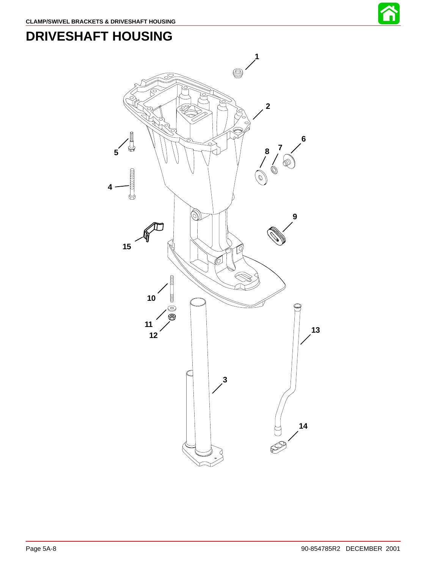







 $\circledS$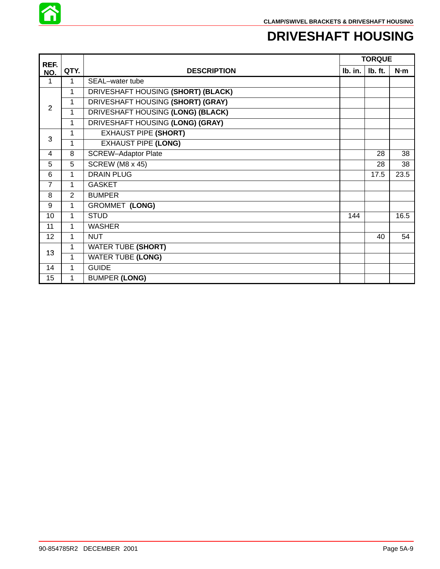

### **DRIVESHAFT HOUSING**

| REF.            |                |                                    | <b>TORQUE</b> |         |      |
|-----------------|----------------|------------------------------------|---------------|---------|------|
| NO.             | QTY.           | <b>DESCRIPTION</b>                 | lb. in.       | Ib. ft. | N·m  |
| 1               | 1              | SEAL-water tube                    |               |         |      |
|                 | 1              | DRIVESHAFT HOUSING (SHORT) (BLACK) |               |         |      |
|                 | 1              | DRIVESHAFT HOUSING (SHORT) (GRAY)  |               |         |      |
| $\overline{2}$  | $\mathbf 1$    | DRIVESHAFT HOUSING (LONG) (BLACK)  |               |         |      |
|                 | 1              | DRIVESHAFT HOUSING (LONG) (GRAY)   |               |         |      |
|                 | 1              | <b>EXHAUST PIPE (SHORT)</b>        |               |         |      |
| 3               | 1              | <b>EXHAUST PIPE (LONG)</b>         |               |         |      |
| 4               | 8              | <b>SCREW-Adaptor Plate</b>         |               | 28      | 38   |
| 5               | 5              | SCREW (M8 x 45)                    |               | 28      | 38   |
| 6               | 1              | <b>DRAIN PLUG</b>                  |               | 17.5    | 23.5 |
| $\overline{7}$  | 1              | <b>GASKET</b>                      |               |         |      |
| 8               | $\overline{2}$ | <b>BUMPER</b>                      |               |         |      |
| 9               | 1              | <b>GROMMET (LONG)</b>              |               |         |      |
| 10              | 1              | <b>STUD</b>                        | 144           |         | 16.5 |
| 11              | 1              | <b>WASHER</b>                      |               |         |      |
| 12 <sup>2</sup> | 1              | <b>NUT</b>                         |               | 40      | 54   |
|                 | 1              | <b>WATER TUBE (SHORT)</b>          |               |         |      |
| 13              | 1              | <b>WATER TUBE (LONG)</b>           |               |         |      |
| 14              | $\mathbf{1}$   | <b>GUIDE</b>                       |               |         |      |
| 15              | 1              | <b>BUMPER (LONG)</b>               |               |         |      |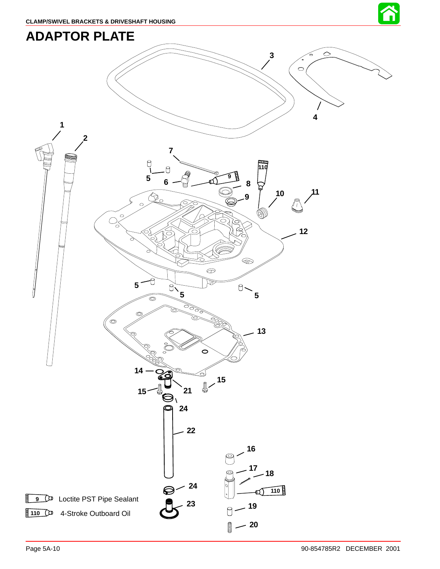

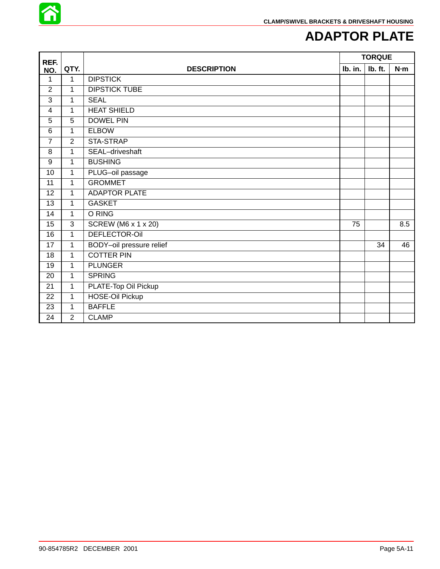

### **ADAPTOR PLATE**

| REF.            |                | <b>TORQUE</b>              |         |         |     |
|-----------------|----------------|----------------------------|---------|---------|-----|
| NO.             | QTY.           | <b>DESCRIPTION</b>         | Ib. in. | Ib. ft. | N·m |
| 1               | $\mathbf 1$    | <b>DIPSTICK</b>            |         |         |     |
| $\overline{2}$  | 1              | <b>DIPSTICK TUBE</b>       |         |         |     |
| 3               | 1              | <b>SEAL</b>                |         |         |     |
| $\overline{4}$  | 1              | <b>HEAT SHIELD</b>         |         |         |     |
| 5               | 5              | <b>DOWEL PIN</b>           |         |         |     |
| $\overline{6}$  | $\mathbf{1}$   | <b>ELBOW</b>               |         |         |     |
| $\overline{7}$  | $\overline{2}$ | STA-STRAP                  |         |         |     |
| 8               | 1              | SEAL-driveshaft            |         |         |     |
| 9               | 1              | <b>BUSHING</b>             |         |         |     |
| 10              | 1              | PLUG-oil passage           |         |         |     |
| 11              | 1              | <b>GROMMET</b>             |         |         |     |
| 12              | $\mathbf{1}$   | <b>ADAPTOR PLATE</b>       |         |         |     |
| $\overline{13}$ | 1              | <b>GASKET</b>              |         |         |     |
| 14              | 1              | O RING                     |         |         |     |
| 15              | $\mathbf{3}$   | <b>SCREW (M6 x 1 x 20)</b> | 75      |         | 8.5 |
| 16              | $\mathbf{1}$   | <b>DEFLECTOR-OII</b>       |         |         |     |
| 17              | $\mathbf{1}$   | BODY-oil pressure relief   |         | 34      | 46  |
| 18              | $\mathbf{1}$   | <b>COTTER PIN</b>          |         |         |     |
| 19              | $\mathbf{1}$   | <b>PLUNGER</b>             |         |         |     |
| 20              | $\mathbf{1}$   | <b>SPRING</b>              |         |         |     |
| 21              | $\mathbf{1}$   | PLATE-Top Oil Pickup       |         |         |     |
| 22              | 1              | <b>HOSE-Oil Pickup</b>     |         |         |     |
| 23              | 1              | <b>BAFFLE</b>              |         |         |     |
| 24              | $\overline{2}$ | <b>CLAMP</b>               |         |         |     |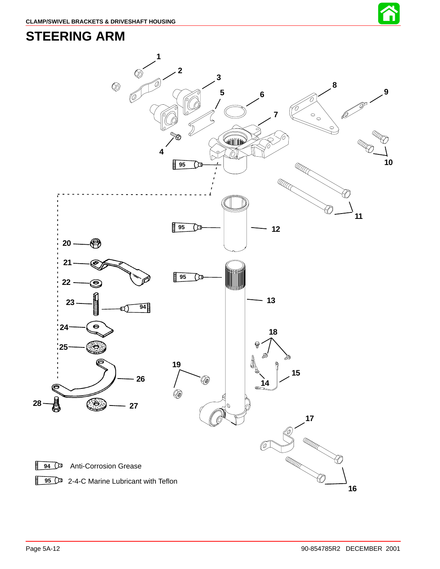